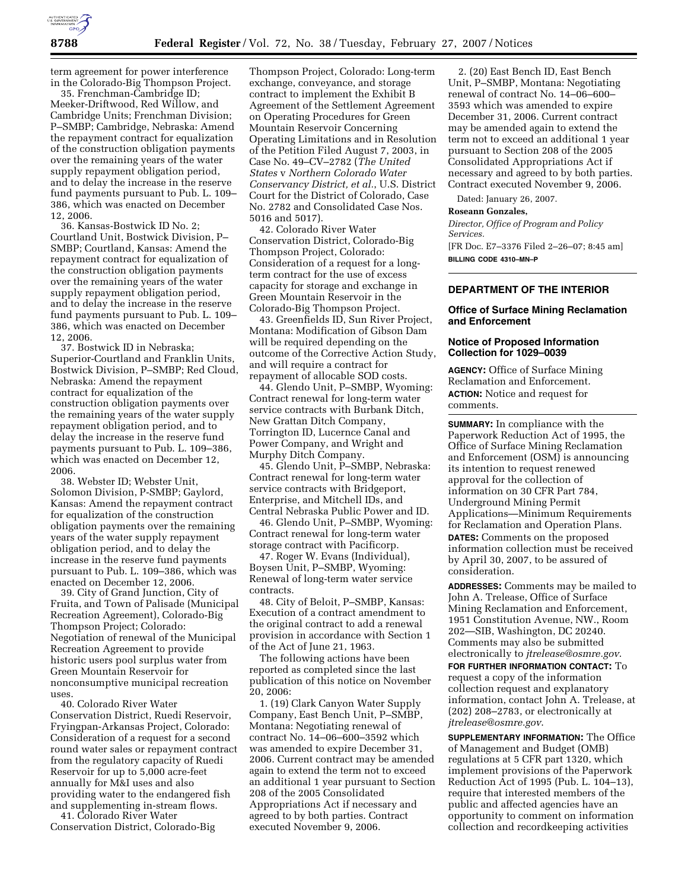

term agreement for power interference in the Colorado-Big Thompson Project.

35. Frenchman-Cambridge ID; Meeker-Driftwood, Red Willow, and Cambridge Units; Frenchman Division; P–SMBP; Cambridge, Nebraska: Amend the repayment contract for equalization of the construction obligation payments over the remaining years of the water supply repayment obligation period, and to delay the increase in the reserve fund payments pursuant to Pub. L. 109– 386, which was enacted on December 12, 2006.

36. Kansas-Bostwick ID No. 2; Courtland Unit, Bostwick Division, P– SMBP; Courtland, Kansas: Amend the repayment contract for equalization of the construction obligation payments over the remaining years of the water supply repayment obligation period, and to delay the increase in the reserve fund payments pursuant to Pub. L. 109– 386, which was enacted on December 12, 2006.

37. Bostwick ID in Nebraska; Superior-Courtland and Franklin Units, Bostwick Division, P–SMBP; Red Cloud, Nebraska: Amend the repayment contract for equalization of the construction obligation payments over the remaining years of the water supply repayment obligation period, and to delay the increase in the reserve fund payments pursuant to Pub. L. 109–386, which was enacted on December 12, 2006.

38. Webster ID; Webster Unit, Solomon Division, P-SMBP; Gaylord, Kansas: Amend the repayment contract for equalization of the construction obligation payments over the remaining years of the water supply repayment obligation period, and to delay the increase in the reserve fund payments pursuant to Pub. L. 109–386, which was enacted on December 12, 2006.

39. City of Grand Junction, City of Fruita, and Town of Palisade (Municipal Recreation Agreement), Colorado-Big Thompson Project; Colorado: Negotiation of renewal of the Municipal Recreation Agreement to provide historic users pool surplus water from Green Mountain Reservoir for nonconsumptive municipal recreation uses.

40. Colorado River Water Conservation District, Ruedi Reservoir, Fryingpan-Arkansas Project, Colorado: Consideration of a request for a second round water sales or repayment contract from the regulatory capacity of Ruedi Reservoir for up to 5,000 acre-feet annually for M&I uses and also providing water to the endangered fish and supplementing in-stream flows.

41. Colorado River Water Conservation District, Colorado-Big

Thompson Project, Colorado: Long-term exchange, conveyance, and storage contract to implement the Exhibit B Agreement of the Settlement Agreement on Operating Procedures for Green Mountain Reservoir Concerning Operating Limitations and in Resolution of the Petition Filed August 7, 2003, in Case No. 49–CV–2782 (*The United States* v *Northern Colorado Water Conservancy District, et al.*, U.S. District Court for the District of Colorado, Case No. 2782 and Consolidated Case Nos. 5016 and 5017).

42. Colorado River Water Conservation District, Colorado-Big Thompson Project, Colorado: Consideration of a request for a longterm contract for the use of excess capacity for storage and exchange in Green Mountain Reservoir in the Colorado-Big Thompson Project.

43. Greenfields ID, Sun River Project, Montana: Modification of Gibson Dam will be required depending on the outcome of the Corrective Action Study, and will require a contract for repayment of allocable SOD costs.

44. Glendo Unit, P–SMBP, Wyoming: Contract renewal for long-term water service contracts with Burbank Ditch, New Grattan Ditch Company, Torrington ID, Lucernce Canal and Power Company, and Wright and Murphy Ditch Company.

45. Glendo Unit, P–SMBP, Nebraska: Contract renewal for long-term water service contracts with Bridgeport, Enterprise, and Mitchell IDs, and Central Nebraska Public Power and ID.

46. Glendo Unit, P–SMBP, Wyoming: Contract renewal for long-term water storage contract with Pacificorp.

47. Roger W. Evans (Individual), Boysen Unit, P–SMBP, Wyoming: Renewal of long-term water service contracts.

48. City of Beloit, P–SMBP, Kansas: Execution of a contract amendment to the original contract to add a renewal provision in accordance with Section 1 of the Act of June 21, 1963.

The following actions have been reported as completed since the last publication of this notice on November 20, 2006:

1. (19) Clark Canyon Water Supply Company, East Bench Unit, P–SMBP, Montana: Negotiating renewal of contract No. 14–06–600–3592 which was amended to expire December 31, 2006. Current contract may be amended again to extend the term not to exceed an additional 1 year pursuant to Section 208 of the 2005 Consolidated Appropriations Act if necessary and agreed to by both parties. Contract executed November 9, 2006.

2. (20) East Bench ID, East Bench Unit, P–SMBP, Montana: Negotiating renewal of contract No. 14–06–600– 3593 which was amended to expire December 31, 2006. Current contract may be amended again to extend the term not to exceed an additional 1 year pursuant to Section 208 of the 2005 Consolidated Appropriations Act if necessary and agreed to by both parties. Contract executed November 9, 2006.

Dated: January 26, 2007.

#### **Roseann Gonzales,**

*Director, Office of Program and Policy Services.*  [FR Doc. E7–3376 Filed 2–26–07; 8:45 am]

**BILLING CODE 4310–MN–P** 

### **DEPARTMENT OF THE INTERIOR**

## **Office of Surface Mining Reclamation and Enforcement**

## **Notice of Proposed Information Collection for 1029–0039**

**AGENCY:** Office of Surface Mining Reclamation and Enforcement. **ACTION:** Notice and request for comments.

**SUMMARY:** In compliance with the Paperwork Reduction Act of 1995, the Office of Surface Mining Reclamation and Enforcement (OSM) is announcing its intention to request renewed approval for the collection of information on 30 CFR Part 784, Underground Mining Permit Applications—Minimum Requirements for Reclamation and Operation Plans. **DATES:** Comments on the proposed information collection must be received by April 30, 2007, to be assured of consideration.

**ADDRESSES:** Comments may be mailed to John A. Trelease, Office of Surface Mining Reclamation and Enforcement, 1951 Constitution Avenue, NW., Room 202—SIB, Washington, DC 20240. Comments may also be submitted electronically to *jtrelease@osmre.gov*.

**FOR FURTHER INFORMATION CONTACT:** To request a copy of the information collection request and explanatory information, contact John A. Trelease, at (202) 208–2783, or electronically at *jtrelease@osmre.gov*.

**SUPPLEMENTARY INFORMATION:** The Office of Management and Budget (OMB) regulations at 5 CFR part 1320, which implement provisions of the Paperwork Reduction Act of 1995 (Pub. L. 104–13), require that interested members of the public and affected agencies have an opportunity to comment on information collection and recordkeeping activities